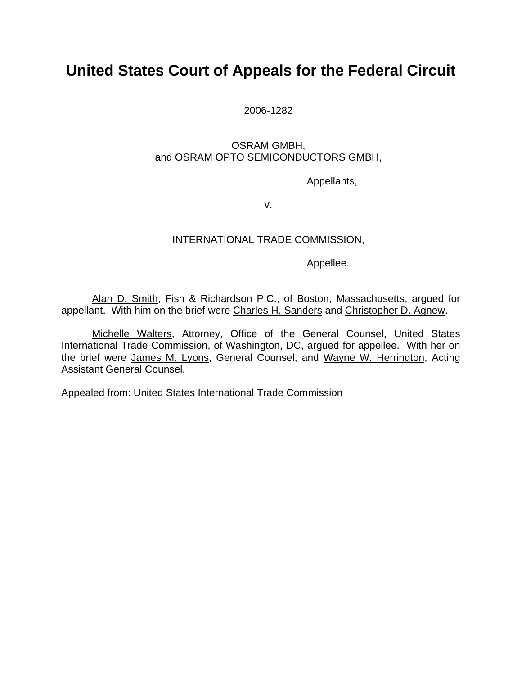## **United States Court of Appeals for the Federal Circuit**

2006-1282

## OSRAM GMBH, and OSRAM OPTO SEMICONDUCTORS GMBH,

Appellants,

v.

## INTERNATIONAL TRADE COMMISSION,

Appellee.

Alan D. Smith, Fish & Richardson P.C., of Boston, Massachusetts, argued for appellant. With him on the brief were Charles H. Sanders and Christopher D. Agnew.

Michelle Walters, Attorney, Office of the General Counsel, United States International Trade Commission, of Washington, DC, argued for appellee. With her on the brief were James M. Lyons, General Counsel, and Wayne W. Herrington, Acting Assistant General Counsel.

Appealed from: United States International Trade Commission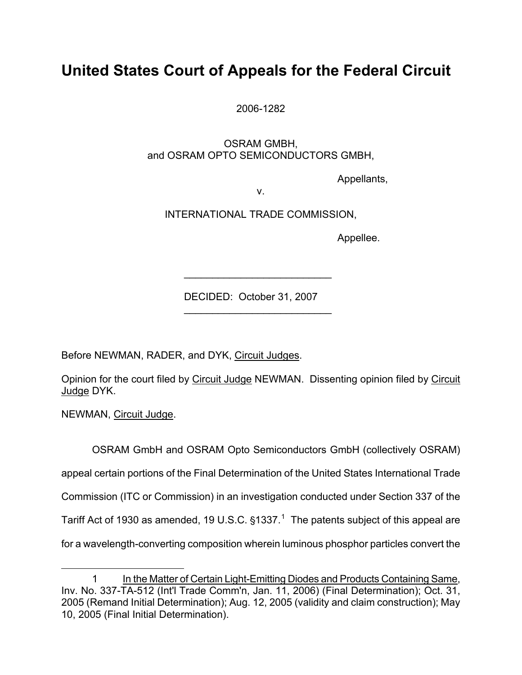# **United States Court of Appeals for the Federal Circuit**

2006-1282

 OSRAM GMBH, and OSRAM OPTO SEMICONDUCTORS GMBH,

Appellants,

v.

INTERNATIONAL TRADE COMMISSION,

Appellee.

DECIDED: October 31, 2007

 $\mathcal{L}_\text{max}$  , where  $\mathcal{L}_\text{max}$  and  $\mathcal{L}_\text{max}$ 

 $\mathcal{L}=\mathcal{L}=\mathcal{L}=\mathcal{L}=\mathcal{L}=\mathcal{L}=\mathcal{L}=\mathcal{L}=\mathcal{L}=\mathcal{L}=\mathcal{L}=\mathcal{L}=\mathcal{L}=\mathcal{L}=\mathcal{L}=\mathcal{L}=\mathcal{L}=\mathcal{L}=\mathcal{L}=\mathcal{L}=\mathcal{L}=\mathcal{L}=\mathcal{L}=\mathcal{L}=\mathcal{L}=\mathcal{L}=\mathcal{L}=\mathcal{L}=\mathcal{L}=\mathcal{L}=\mathcal{L}=\mathcal{L}=\mathcal{L}=\mathcal{L}=\mathcal{L}=\mathcal{L}=\mathcal{$ 

Before NEWMAN, RADER, and DYK, Circuit Judges.

Opinion for the court filed by Circuit Judge NEWMAN. Dissenting opinion filed by Circuit Judge DYK.

NEWMAN, Circuit Judge.

 $\overline{a}$ 

OSRAM GmbH and OSRAM Opto Semiconductors GmbH (collectively OSRAM) appeal certain portions of the Final Determination of the United States International Trade Commission (ITC or Commission) in an investigation conducted under Section 337 of the Tariff Act of [1](#page-1-0)930 as amended, 19 U.S.C.  $§1337<sup>1</sup>$  The patents subject of this appeal are for a wavelength-converting composition wherein luminous phosphor particles convert the

<span id="page-1-0"></span><sup>1</sup> In the Matter of Certain Light-Emitting Diodes and Products Containing Same, Inv. No. 337-TA-512 (Int'l Trade Comm'n, Jan. 11, 2006) (Final Determination); Oct. 31, 2005 (Remand Initial Determination); Aug. 12, 2005 (validity and claim construction); May 10, 2005 (Final Initial Determination).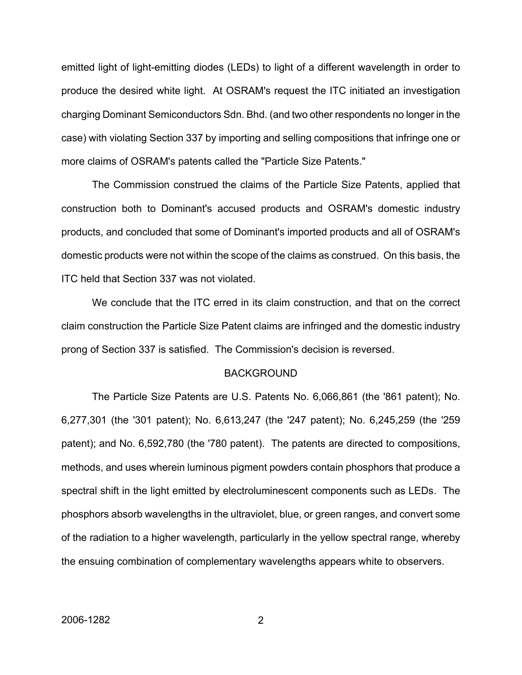emitted light of light-emitting diodes (LEDs) to light of a different wavelength in order to produce the desired white light. At OSRAM's request the ITC initiated an investigation charging Dominant Semiconductors Sdn. Bhd. (and two other respondents no longer in the case) with violating Section 337 by importing and selling compositions that infringe one or more claims of OSRAM's patents called the "Particle Size Patents."

The Commission construed the claims of the Particle Size Patents, applied that construction both to Dominant's accused products and OSRAM's domestic industry products, and concluded that some of Dominant's imported products and all of OSRAM's domestic products were not within the scope of the claims as construed. On this basis, the ITC held that Section 337 was not violated.

We conclude that the ITC erred in its claim construction, and that on the correct claim construction the Particle Size Patent claims are infringed and the domestic industry prong of Section 337 is satisfied. The Commission's decision is reversed.

#### BACKGROUND

The Particle Size Patents are U.S. Patents No. 6,066,861 (the '861 patent); No. 6,277,301 (the '301 patent); No. 6,613,247 (the '247 patent); No. 6,245,259 (the '259 patent); and No. 6,592,780 (the '780 patent). The patents are directed to compositions, methods, and uses wherein luminous pigment powders contain phosphors that produce a spectral shift in the light emitted by electroluminescent components such as LEDs. The phosphors absorb wavelengths in the ultraviolet, blue, or green ranges, and convert some of the radiation to a higher wavelength, particularly in the yellow spectral range, whereby the ensuing combination of complementary wavelengths appears white to observers.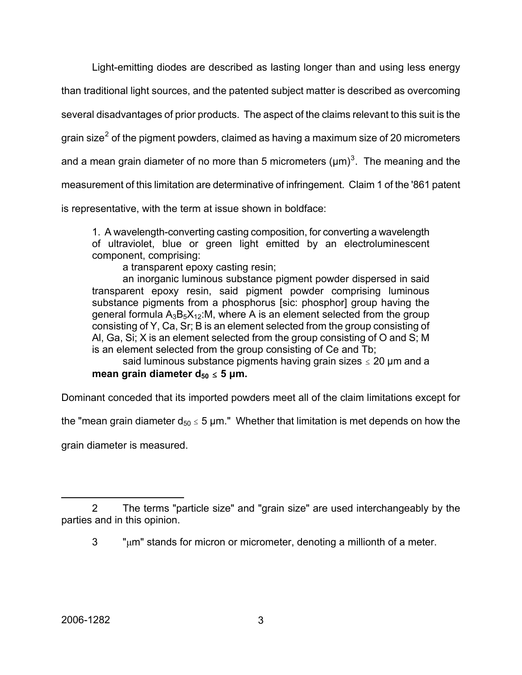Light-emitting diodes are described as lasting longer than and using less energy

than traditional light sources, and the patented subject matter is described as overcoming

several disadvantages of prior products. The aspect of the claims relevant to this suit is the

grain size<sup>[2](#page-3-0)</sup> of the pigment powders, claimed as having a maximum size of 20 micrometers

and a mean grain diameter of no more than 5 micrometers ( $\mu$ m)<sup>[3](#page-3-1)</sup>. The meaning and the

measurement of this limitation are determinative of infringement. Claim 1 of the '861 patent

is representative, with the term at issue shown in boldface:

1. A wavelength-converting casting composition, for converting a wavelength of ultraviolet, blue or green light emitted by an electroluminescent component, comprising:

a transparent epoxy casting resin;

an inorganic luminous substance pigment powder dispersed in said transparent epoxy resin, said pigment powder comprising luminous substance pigments from a phosphorus [sic: phosphor] group having the general formula  $A_3B_5X_{12}$ :M, where A is an element selected from the group consisting of Y, Ca, Sr; B is an element selected from the group consisting of Al, Ga, Si; X is an element selected from the group consisting of O and S; M is an element selected from the group consisting of Ce and Tb;

said luminous substance pigments having grain sizes  $\leq 20$  µm and a **mean grain diameter**  $d_{50} \le 5 \mu m$ **.** 

Dominant conceded that its imported powders meet all of the claim limitations except for

the "mean grain diameter  $d_{50} \le 5$  µm." Whether that limitation is met depends on how the

grain diameter is measured.

<span id="page-3-1"></span><span id="page-3-0"></span><sup>2</sup> The terms "particle size" and "grain size" are used interchangeably by the parties and in this opinion.

 $3$  " $\mu$ m" stands for micron or micrometer, denoting a millionth of a meter.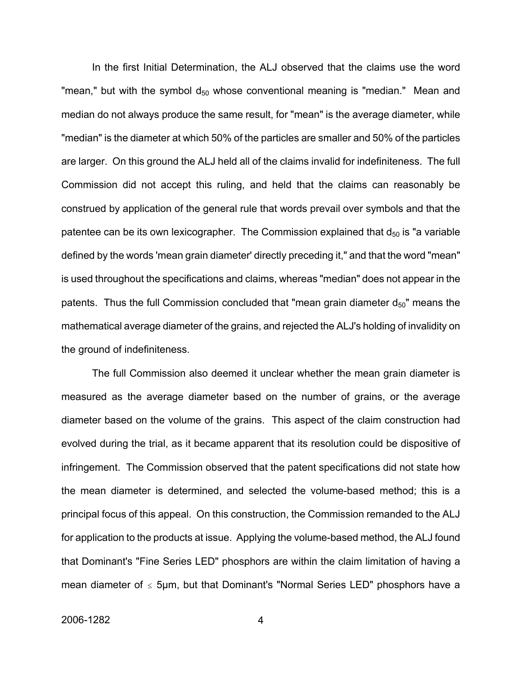In the first Initial Determination, the ALJ observed that the claims use the word "mean," but with the symbol  $d_{50}$  whose conventional meaning is "median." Mean and median do not always produce the same result, for "mean" is the average diameter, while "median" is the diameter at which 50% of the particles are smaller and 50% of the particles are larger. On this ground the ALJ held all of the claims invalid for indefiniteness. The full Commission did not accept this ruling, and held that the claims can reasonably be construed by application of the general rule that words prevail over symbols and that the patentee can be its own lexicographer. The Commission explained that  $d_{50}$  is "a variable defined by the words 'mean grain diameter' directly preceding it," and that the word "mean" is used throughout the specifications and claims, whereas "median" does not appear in the patents. Thus the full Commission concluded that "mean grain diameter  $d_{50}$ " means the mathematical average diameter of the grains, and rejected the ALJ's holding of invalidity on the ground of indefiniteness.

The full Commission also deemed it unclear whether the mean grain diameter is measured as the average diameter based on the number of grains, or the average diameter based on the volume of the grains. This aspect of the claim construction had evolved during the trial, as it became apparent that its resolution could be dispositive of infringement. The Commission observed that the patent specifications did not state how the mean diameter is determined, and selected the volume-based method; this is a principal focus of this appeal. On this construction, the Commission remanded to the ALJ for application to the products at issue. Applying the volume-based method, the ALJ found that Dominant's "Fine Series LED" phosphors are within the claim limitation of having a mean diameter of  $\leq$  5µm, but that Dominant's "Normal Series LED" phosphors have a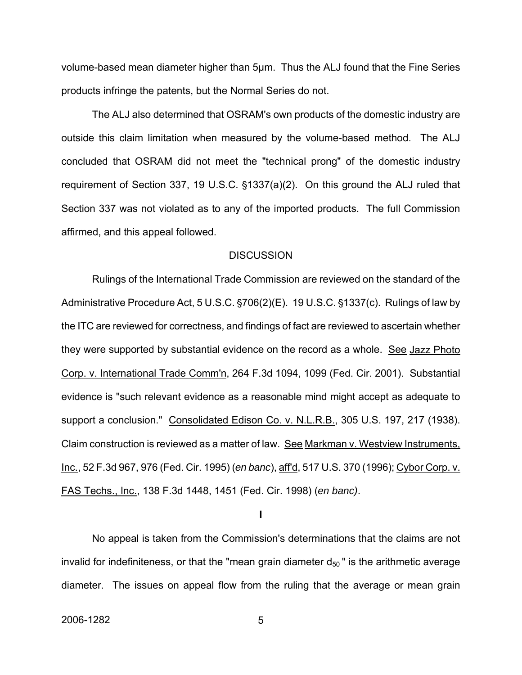volume-based mean diameter higher than 5μm. Thus the ALJ found that the Fine Series products infringe the patents, but the Normal Series do not.

The ALJ also determined that OSRAM's own products of the domestic industry are outside this claim limitation when measured by the volume-based method. The ALJ concluded that OSRAM did not meet the "technical prong" of the domestic industry requirement of Section 337, 19 U.S.C.  $\S$ 1337(a)(2). On this ground the ALJ ruled that Section 337 was not violated as to any of the imported products. The full Commission affirmed, and this appeal followed.

#### **DISCUSSION**

Rulings of the International Trade Commission are reviewed on the standard of the Administrative Procedure Act,  $5 U.S.C.$   $\S706(2)$ (E).  $19 U.S.C.$   $\S1337(c)$ . Rulings of law by the ITC are reviewed for correctness, and findings of fact are reviewed to ascertain whether they were supported by substantial evidence on the record as a whole. See Jazz Photo Corp. v. International Trade Comm'n, 264 F.3d 1094, 1099 (Fed. Cir. 2001). Substantial evidence is "such relevant evidence as a reasonable mind might accept as adequate to support a conclusion." Consolidated Edison Co. v. N.L.R.B., 305 U.S. 197, 217 (1938). Claim construction is reviewed as a matter of law. See Markman v. Westview Instruments, Inc., 52 F.3d 967, 976 (Fed. Cir. 1995) (*en banc*), aff'd, 517 U.S. 370 (1996); Cybor Corp. v. FAS Techs., Inc., 138 F.3d 1448, 1451 (Fed. Cir. 1998) (*en banc)*.

**I**

No appeal is taken from the Commission's determinations that the claims are not invalid for indefiniteness, or that the "mean grain diameter  $d_{50}$ " is the arithmetic average diameter. The issues on appeal flow from the ruling that the average or mean grain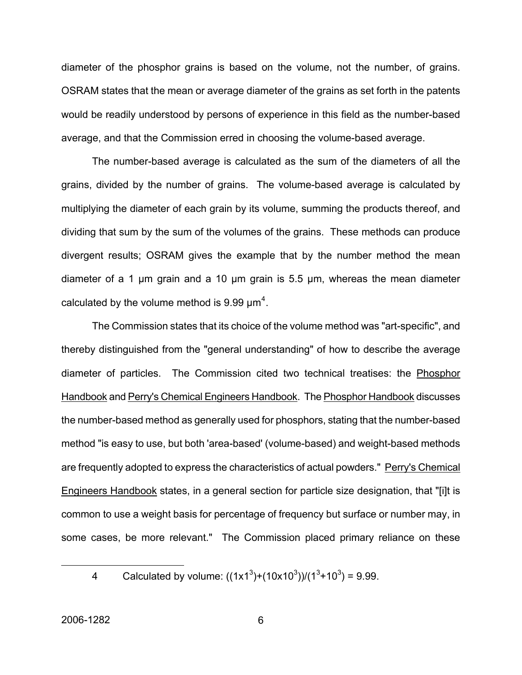diameter of the phosphor grains is based on the volume, not the number, of grains. OSRAM states that the mean or average diameter of the grains as set forth in the patents would be readily understood by persons of experience in this field as the number-based average, and that the Commission erred in choosing the volume-based average.

The number-based average is calculated as the sum of the diameters of all the grains, divided by the number of grains. The volume-based average is calculated by multiplying the diameter of each grain by its volume, summing the products thereof, and dividing that sum by the sum of the volumes of the grains. These methods can produce divergent results; OSRAM gives the example that by the number method the mean diameter of a 1 μm grain and a 10 μm grain is 5.5 μm, whereas the mean diameter calculated by the volume method is 9.99  $\mu$ m<sup>[4](#page-6-0)</sup>.

The Commission states that its choice of the volume method was "art-specific", and thereby distinguished from the "general understanding" of how to describe the average diameter of particles. The Commission cited two technical treatises: the Phosphor Handbook and Perry's Chemical Engineers Handbook. The Phosphor Handbook discusses the number-based method as generally used for phosphors, stating that the number-based method "is easy to use, but both 'area-based' (volume-based) and weight-based methods are frequently adopted to express the characteristics of actual powders." Perry's Chemical Engineers Handbook states, in a general section for particle size designation, that "[i]t is common to use a weight basis for percentage of frequency but surface or number may, in some cases, be more relevant." The Commission placed primary reliance on these

<span id="page-6-0"></span>

<sup>4</sup> Calculated by volume:  $((1x1^3)+(10x10^3))/(1^3+10^3) = 9.99$ .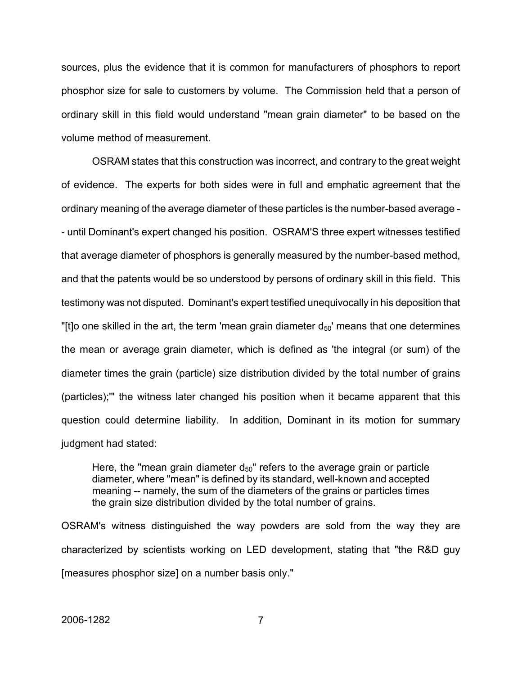sources, plus the evidence that it is common for manufacturers of phosphors to report phosphor size for sale to customers by volume. The Commission held that a person of ordinary skill in this field would understand "mean grain diameter" to be based on the volume method of measurement.

OSRAM states that this construction was incorrect, and contrary to the great weight of evidence. The experts for both sides were in full and emphatic agreement that the ordinary meaning of the average diameter of these particles is the number-based average - - until Dominant's expert changed his position. OSRAM'S three expert witnesses testified that average diameter of phosphors is generally measured by the number-based method, and that the patents would be so understood by persons of ordinary skill in this field. This testimony was not disputed. Dominant's expert testified unequivocally in his deposition that "[t]o one skilled in the art, the term 'mean grain diameter  $d_{50}$ ' means that one determines the mean or average grain diameter, which is defined as 'the integral (or sum) of the diameter times the grain (particle) size distribution divided by the total number of grains (particles);'" the witness later changed his position when it became apparent that this question could determine liability. In addition, Dominant in its motion for summary judgment had stated:

Here, the "mean grain diameter  $d_{50}$ " refers to the average grain or particle diameter, where "mean" is defined by its standard, well-known and accepted meaning -- namely, the sum of the diameters of the grains or particles times the grain size distribution divided by the total number of grains.

OSRAM's witness distinguished the way powders are sold from the way they are characterized by scientists working on LED development, stating that "the R&D guy [measures phosphor size] on a number basis only."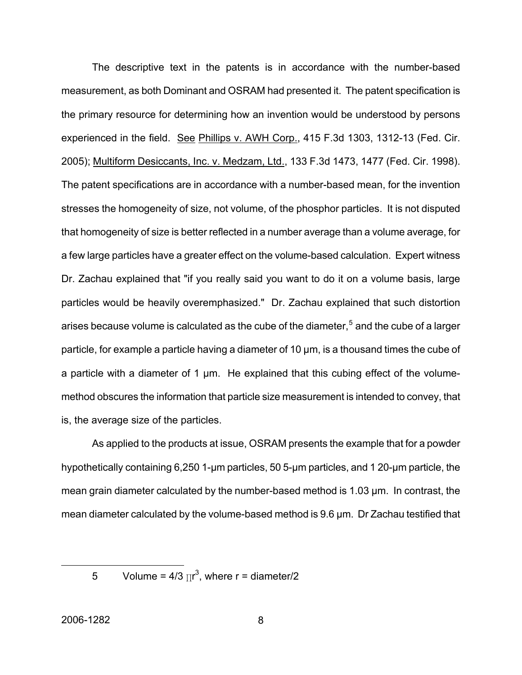The descriptive text in the patents is in accordance with the number-based measurement, as both Dominant and OSRAM had presented it. The patent specification is the primary resource for determining how an invention would be understood by persons experienced in the field. See Phillips v. AWH Corp., 415 F.3d 1303, 1312-13 (Fed. Cir. 2005); Multiform Desiccants, Inc. v. Medzam, Ltd., 133 F.3d 1473, 1477 (Fed. Cir. 1998). The patent specifications are in accordance with a number-based mean, for the invention stresses the homogeneity of size, not volume, of the phosphor particles. It is not disputed that homogeneity of size is better reflected in a number average than a volume average, for a few large particles have a greater effect on the volume-based calculation. Expert witness Dr. Zachau explained that "if you really said you want to do it on a volume basis, large particles would be heavily overemphasized." Dr. Zachau explained that such distortion arises because volume is calculated as the cube of the diameter,  $5$  and the cube of a larger particle, for example a particle having a diameter of 10 μm, is a thousand times the cube of a particle with a diameter of 1 μm. He explained that this cubing effect of the volumemethod obscures the information that particle size measurement is intended to convey, that is, the average size of the particles.

As applied to the products at issue, OSRAM presents the example that for a powder hypothetically containing 6,250 1-μm particles, 50 5-μm particles, and 1 20-μm particle, the mean grain diameter calculated by the number-based method is 1.03 μm. In contrast, the mean diameter calculated by the volume-based method is 9.6 μm. Dr Zachau testified that

<span id="page-8-0"></span>

<sup>5</sup> Volume =  $4/3 \pi r^3$ , where r = diameter/2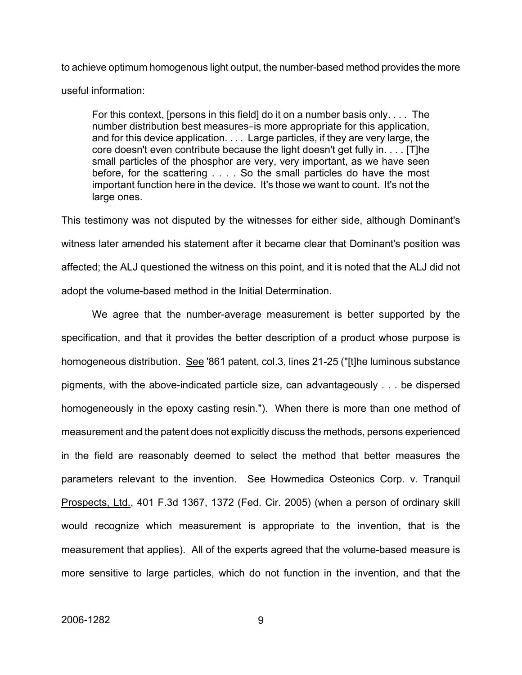to achieve optimum homogenous light output, the number-based method provides the more useful information:

For this context, [persons in this field] do it on a number basis only. . . . The number distribution best measures-is more appropriate for this application, and for this device application. . . . Large particles, if they are very large, the core doesn't even contribute because the light doesn't get fully in. . . . [T]he small particles of the phosphor are very, very important, as we have seen before, for the scattering . . . . So the small particles do have the most important function here in the device. It's those we want to count. It's not the large ones.

This testimony was not disputed by the witnesses for either side, although Dominant's witness later amended his statement after it became clear that Dominant's position was affected; the ALJ questioned the witness on this point, and it is noted that the ALJ did not adopt the volume-based method in the Initial Determination.

We agree that the number-average measurement is better supported by the specification, and that it provides the better description of a product whose purpose is homogeneous distribution. See '861 patent, col.3, lines 21-25 ("[t]he luminous substance pigments, with the above-indicated particle size, can advantageously . . . be dispersed homogeneously in the epoxy casting resin."). When there is more than one method of measurement and the patent does not explicitly discuss the methods, persons experienced in the field are reasonably deemed to select the method that better measures the parameters relevant to the invention. See Howmedica Osteonics Corp. v. Tranquil Prospects, Ltd., 401 F.3d 1367, 1372 (Fed. Cir. 2005) (when a person of ordinary skill would recognize which measurement is appropriate to the invention, that is the measurement that applies). All of the experts agreed that the volume-based measure is more sensitive to large particles, which do not function in the invention, and that the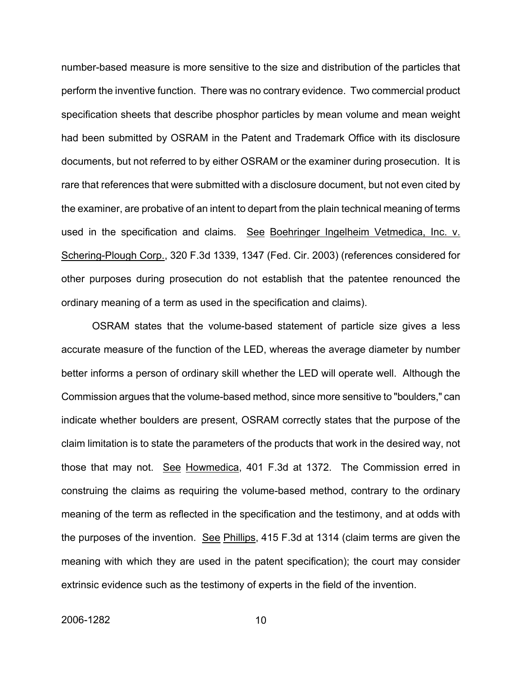number-based measure is more sensitive to the size and distribution of the particles that perform the inventive function. There was no contrary evidence. Two commercial product specification sheets that describe phosphor particles by mean volume and mean weight had been submitted by OSRAM in the Patent and Trademark Office with its disclosure documents, but not referred to by either OSRAM or the examiner during prosecution. It is rare that references that were submitted with a disclosure document, but not even cited by the examiner, are probative of an intent to depart from the plain technical meaning of terms used in the specification and claims. See Boehringer Ingelheim Vetmedica, Inc. v. Schering-Plough Corp., 320 F.3d 1339, 1347 (Fed. Cir. 2003) (references considered for other purposes during prosecution do not establish that the patentee renounced the ordinary meaning of a term as used in the specification and claims).

OSRAM states that the volume-based statement of particle size gives a less accurate measure of the function of the LED, whereas the average diameter by number better informs a person of ordinary skill whether the LED will operate well. Although the Commission argues that the volume-based method, since more sensitive to "boulders," can indicate whether boulders are present, OSRAM correctly states that the purpose of the claim limitation is to state the parameters of the products that work in the desired way, not those that may not. See Howmedica, 401 F.3d at 1372. The Commission erred in construing the claims as requiring the volume-based method, contrary to the ordinary meaning of the term as reflected in the specification and the testimony, and at odds with the purposes of the invention. See Phillips, 415 F.3d at 1314 (claim terms are given the meaning with which they are used in the patent specification); the court may consider extrinsic evidence such as the testimony of experts in the field of the invention.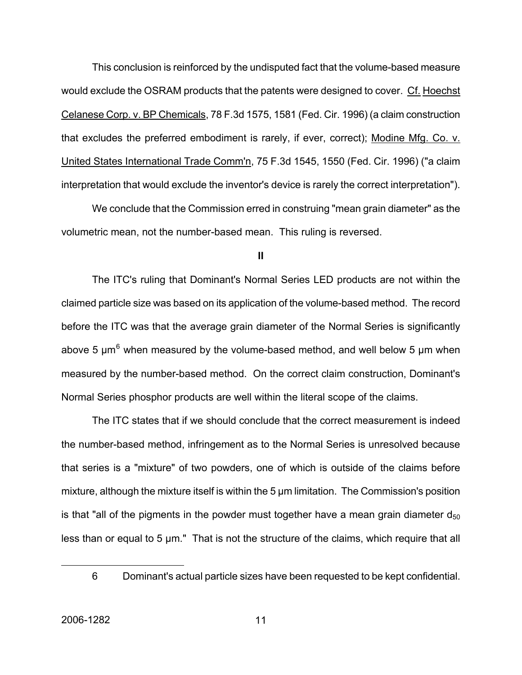This conclusion is reinforced by the undisputed fact that the volume-based measure would exclude the OSRAM products that the patents were designed to cover. Cf. Hoechst Celanese Corp. v. BP Chemicals, 78 F.3d 1575, 1581 (Fed. Cir. 1996) (a claim construction that excludes the preferred embodiment is rarely, if ever, correct); Modine Mfg. Co. v. United States International Trade Comm'n, 75 F.3d 1545, 1550 (Fed. Cir. 1996) ("a claim interpretation that would exclude the inventor's device is rarely the correct interpretation").

We conclude that the Commission erred in construing "mean grain diameter" as the volumetric mean, not the number-based mean. This ruling is reversed.

#### **II**

The ITC's ruling that Dominant's Normal Series LED products are not within the claimed particle size was based on its application of the volume-based method. The record before the ITC was that the average grain diameter of the Normal Series is significantly above 5  $\mu$ m<sup>[6](#page-11-0)</sup> when measured by the volume-based method, and well below 5  $\mu$ m when measured by the number-based method. On the correct claim construction, Dominant's Normal Series phosphor products are well within the literal scope of the claims.

The ITC states that if we should conclude that the correct measurement is indeed the number-based method, infringement as to the Normal Series is unresolved because that series is a "mixture" of two powders, one of which is outside of the claims before mixture, although the mixture itself is within the 5 μm limitation. The Commission's position is that "all of the pigments in the powder must together have a mean grain diameter  $d_{50}$ less than or equal to 5 μm." That is not the structure of the claims, which require that all

<span id="page-11-0"></span><sup>6</sup> Dominant's actual particle sizes have been requested to be kept confidential.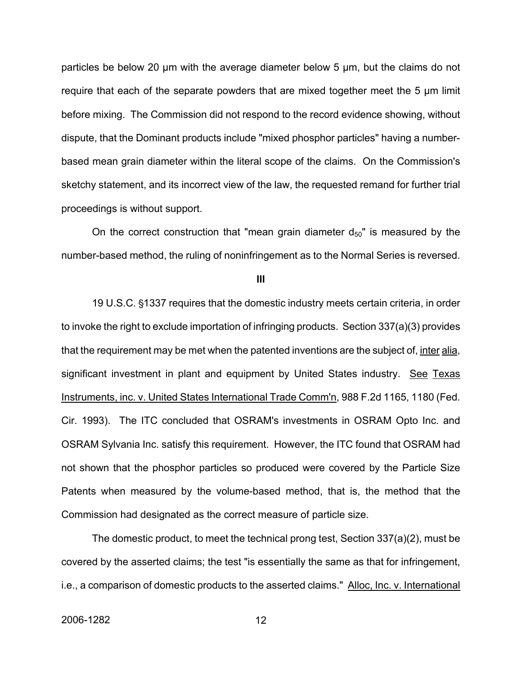particles be below 20 μm with the average diameter below 5 μm, but the claims do not require that each of the separate powders that are mixed together meet the 5 μm limit before mixing. The Commission did not respond to the record evidence showing, without dispute, that the Dominant products include "mixed phosphor particles" having a numberbased mean grain diameter within the literal scope of the claims. On the Commission's sketchy statement, and its incorrect view of the law, the requested remand for further trial proceedings is without support.

On the correct construction that "mean grain diameter  $d_{50}$ " is measured by the number-based method, the ruling of noninfringement as to the Normal Series is reversed.

**III**

19 U.S.C. '1337 requires that the domestic industry meets certain criteria, in order to invoke the right to exclude importation of infringing products. Section 337(a)(3) provides that the requirement may be met when the patented inventions are the subject of, inter alia, significant investment in plant and equipment by United States industry. See Texas Instruments, inc. v. United States International Trade Comm'n, 988 F.2d 1165, 1180 (Fed. Cir. 1993). The ITC concluded that OSRAM's investments in OSRAM Opto Inc. and OSRAM Sylvania Inc. satisfy this requirement. However, the ITC found that OSRAM had not shown that the phosphor particles so produced were covered by the Particle Size Patents when measured by the volume-based method, that is, the method that the Commission had designated as the correct measure of particle size.

The domestic product, to meet the technical prong test, Section 337(a)(2), must be covered by the asserted claims; the test "is essentially the same as that for infringement, i.e., a comparison of domestic products to the asserted claims." Alloc, Inc. v. International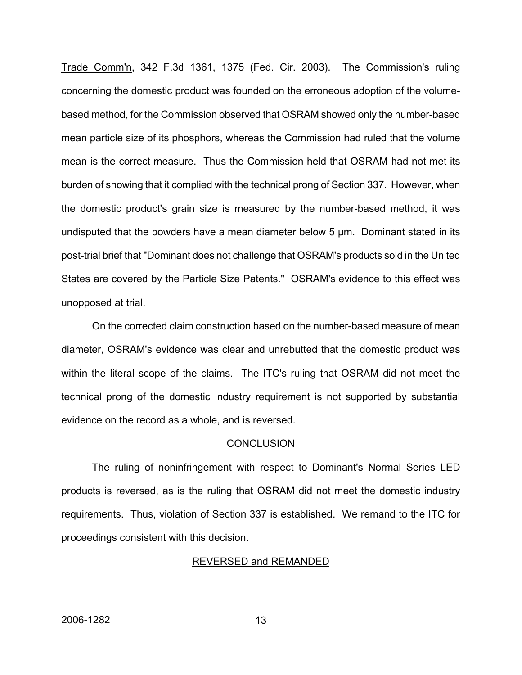Trade Comm'n, 342 F.3d 1361, 1375 (Fed. Cir. 2003). The Commission's ruling concerning the domestic product was founded on the erroneous adoption of the volumebased method, for the Commission observed that OSRAM showed only the number-based mean particle size of its phosphors, whereas the Commission had ruled that the volume mean is the correct measure. Thus the Commission held that OSRAM had not met its burden of showing that it complied with the technical prong of Section 337. However, when the domestic product's grain size is measured by the number-based method, it was undisputed that the powders have a mean diameter below 5 μm. Dominant stated in its post-trial brief that "Dominant does not challenge that OSRAM's products sold in the United States are covered by the Particle Size Patents." OSRAM's evidence to this effect was unopposed at trial.

On the corrected claim construction based on the number-based measure of mean diameter, OSRAM's evidence was clear and unrebutted that the domestic product was within the literal scope of the claims. The ITC's ruling that OSRAM did not meet the technical prong of the domestic industry requirement is not supported by substantial evidence on the record as a whole, and is reversed.

#### **CONCLUSION**

The ruling of noninfringement with respect to Dominant's Normal Series LED products is reversed, as is the ruling that OSRAM did not meet the domestic industry requirements. Thus, violation of Section 337 is established. We remand to the ITC for proceedings consistent with this decision.

#### REVERSED and REMANDED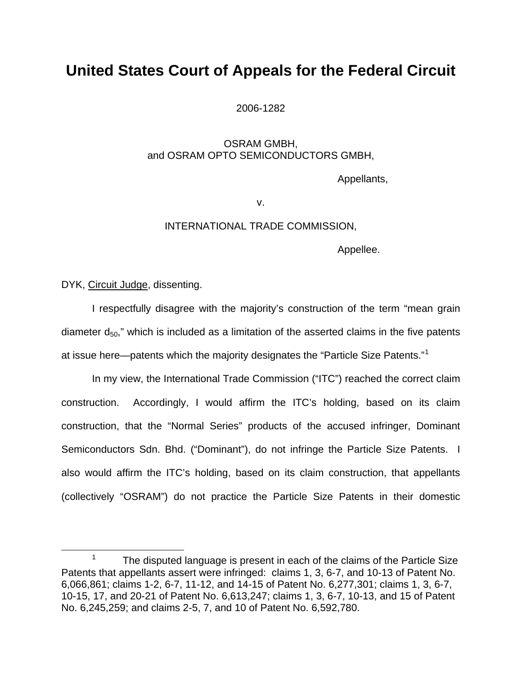## **United States Court of Appeals for the Federal Circuit**

2006-1282

### OSRAM GMBH, and OSRAM OPTO SEMICONDUCTORS GMBH,

Appellants,

v.

### INTERNATIONAL TRADE COMMISSION,

Appellee.

DYK, Circuit Judge, dissenting.

I respectfully disagree with the majority's construction of the term "mean grain diameter  $d_{50}$ ," which is included as a limitation of the asserted claims in the five patents at issue here—patents which the majority designates the "Particle Size Patents."<sup>[1](#page-14-0)</sup>

In my view, the International Trade Commission ("ITC") reached the correct claim construction. Accordingly, I would affirm the ITC's holding, based on its claim construction, that the "Normal Series" products of the accused infringer, Dominant Semiconductors Sdn. Bhd. ("Dominant"), do not infringe the Particle Size Patents. I also would affirm the ITC's holding, based on its claim construction, that appellants (collectively "OSRAM") do not practice the Particle Size Patents in their domestic

<span id="page-14-0"></span> $\frac{1}{1}$  The disputed language is present in each of the claims of the Particle Size Patents that appellants assert were infringed: claims 1, 3, 6-7, and 10-13 of Patent No. 6,066,861; claims 1-2, 6-7, 11-12, and 14-15 of Patent No. 6,277,301; claims 1, 3, 6-7, 10-15, 17, and 20-21 of Patent No. 6,613,247; claims 1, 3, 6-7, 10-13, and 15 of Patent No. 6,245,259; and claims 2-5, 7, and 10 of Patent No. 6,592,780.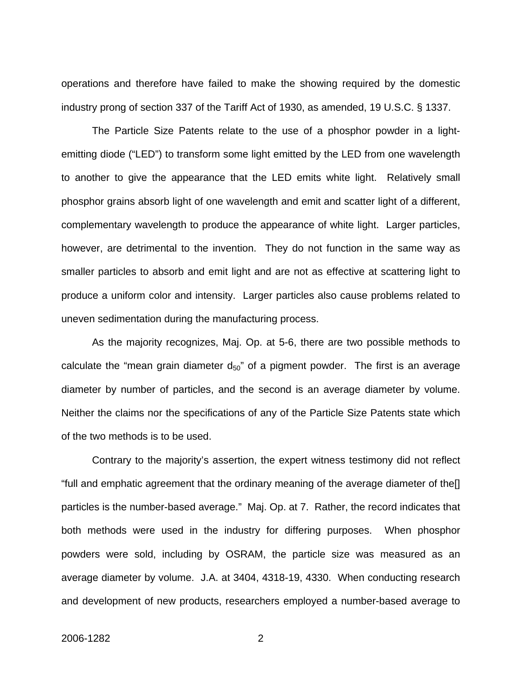operations and therefore have failed to make the showing required by the domestic industry prong of section 337 of the Tariff Act of 1930, as amended, 19 U.S.C. § 1337.

 The Particle Size Patents relate to the use of a phosphor powder in a lightemitting diode ("LED") to transform some light emitted by the LED from one wavelength to another to give the appearance that the LED emits white light. Relatively small phosphor grains absorb light of one wavelength and emit and scatter light of a different, complementary wavelength to produce the appearance of white light. Larger particles, however, are detrimental to the invention. They do not function in the same way as smaller particles to absorb and emit light and are not as effective at scattering light to produce a uniform color and intensity. Larger particles also cause problems related to uneven sedimentation during the manufacturing process.

As the majority recognizes, Maj. Op. at 5-6, there are two possible methods to calculate the "mean grain diameter  $d_{50}$ " of a pigment powder. The first is an average diameter by number of particles, and the second is an average diameter by volume. Neither the claims nor the specifications of any of the Particle Size Patents state which of the two methods is to be used.

Contrary to the majority's assertion, the expert witness testimony did not reflect "full and emphatic agreement that the ordinary meaning of the average diameter of the[] particles is the number-based average." Maj. Op. at 7. Rather, the record indicates that both methods were used in the industry for differing purposes. When phosphor powders were sold, including by OSRAM, the particle size was measured as an average diameter by volume. J.A. at 3404, 4318-19, 4330. When conducting research and development of new products, researchers employed a number-based average to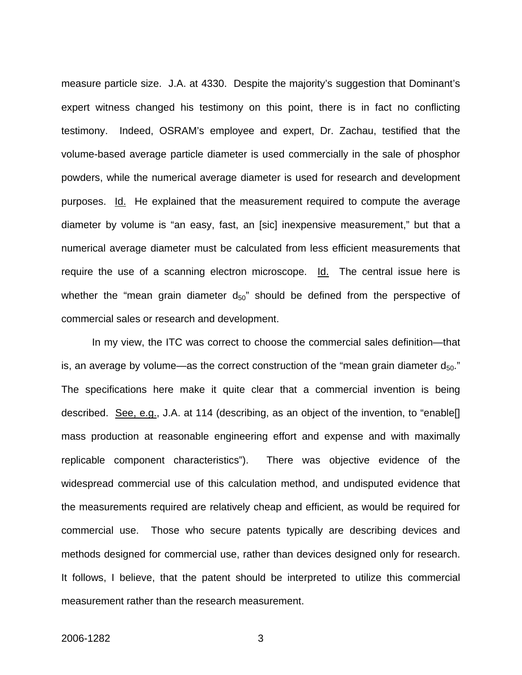measure particle size. J.A. at 4330. Despite the majority's suggestion that Dominant's expert witness changed his testimony on this point, there is in fact no conflicting testimony. Indeed, OSRAM's employee and expert, Dr. Zachau, testified that the volume-based average particle diameter is used commercially in the sale of phosphor powders, while the numerical average diameter is used for research and development purposes. Id. He explained that the measurement required to compute the average diameter by volume is "an easy, fast, an [sic] inexpensive measurement," but that a numerical average diameter must be calculated from less efficient measurements that require the use of a scanning electron microscope. Id. The central issue here is whether the "mean grain diameter  $d_{50}$ " should be defined from the perspective of commercial sales or research and development.

In my view, the ITC was correct to choose the commercial sales definition—that is, an average by volume—as the correct construction of the "mean grain diameter  $d_{50}$ ." The specifications here make it quite clear that a commercial invention is being described. See, e.g., J.A. at 114 (describing, as an object of the invention, to "enable[] mass production at reasonable engineering effort and expense and with maximally replicable component characteristics"). There was objective evidence of the widespread commercial use of this calculation method, and undisputed evidence that the measurements required are relatively cheap and efficient, as would be required for commercial use. Those who secure patents typically are describing devices and methods designed for commercial use, rather than devices designed only for research. It follows, I believe, that the patent should be interpreted to utilize this commercial measurement rather than the research measurement.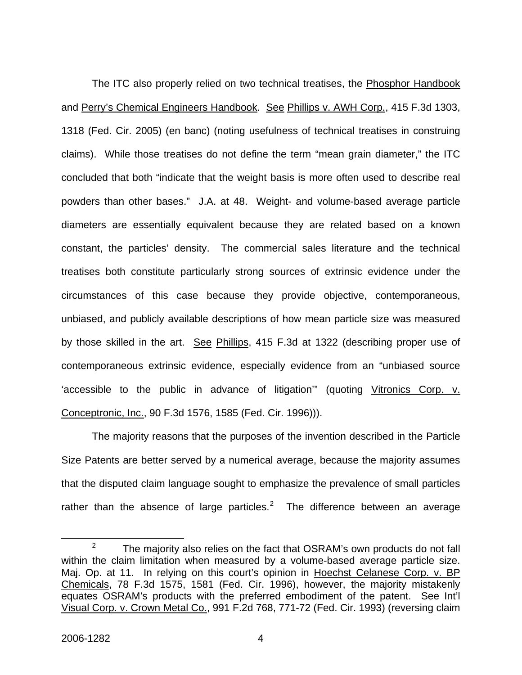The ITC also properly relied on two technical treatises, the Phosphor Handbook and Perry's Chemical Engineers Handbook. See Phillips v. AWH Corp., 415 F.3d 1303, 1318 (Fed. Cir. 2005) (en banc) (noting usefulness of technical treatises in construing claims). While those treatises do not define the term "mean grain diameter," the ITC concluded that both "indicate that the weight basis is more often used to describe real powders than other bases." J.A. at 48. Weight- and volume-based average particle diameters are essentially equivalent because they are related based on a known constant, the particles' density. The commercial sales literature and the technical treatises both constitute particularly strong sources of extrinsic evidence under the circumstances of this case because they provide objective, contemporaneous, unbiased, and publicly available descriptions of how mean particle size was measured by those skilled in the art. See Phillips, 415 F.3d at 1322 (describing proper use of contemporaneous extrinsic evidence, especially evidence from an "unbiased source 'accessible to the public in advance of litigation'" (quoting Vitronics Corp. v. Conceptronic, Inc., 90 F.3d 1576, 1585 (Fed. Cir. 1996))).

The majority reasons that the purposes of the invention described in the Particle Size Patents are better served by a numerical average, because the majority assumes that the disputed claim language sought to emphasize the prevalence of small particles rather than the absence of large particles.<sup>[2](#page-17-0)</sup> The difference between an average

<span id="page-17-0"></span> $\frac{1}{2}$  $2^2$  The majority also relies on the fact that OSRAM's own products do not fall within the claim limitation when measured by a volume-based average particle size. Maj. Op. at 11. In relying on this court's opinion in Hoechst Celanese Corp. v. BP Chemicals, 78 F.3d 1575, 1581 (Fed. Cir. 1996), however, the majority mistakenly equates OSRAM's products with the preferred embodiment of the patent. See Int'l Visual Corp. v. Crown Metal Co., 991 F.2d 768, 771-72 (Fed. Cir. 1993) (reversing claim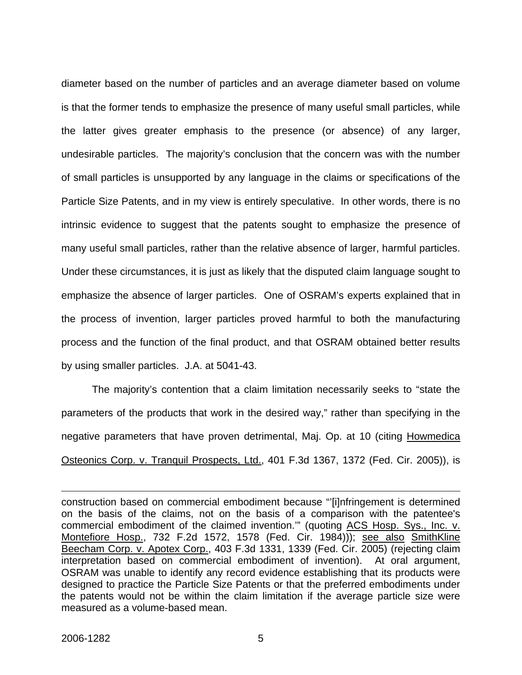diameter based on the number of particles and an average diameter based on volume is that the former tends to emphasize the presence of many useful small particles, while the latter gives greater emphasis to the presence (or absence) of any larger, undesirable particles. The majority's conclusion that the concern was with the number of small particles is unsupported by any language in the claims or specifications of the Particle Size Patents, and in my view is entirely speculative. In other words, there is no intrinsic evidence to suggest that the patents sought to emphasize the presence of many useful small particles, rather than the relative absence of larger, harmful particles. Under these circumstances, it is just as likely that the disputed claim language sought to emphasize the absence of larger particles. One of OSRAM's experts explained that in the process of invention, larger particles proved harmful to both the manufacturing process and the function of the final product, and that OSRAM obtained better results by using smaller particles. J.A. at 5041-43.

The majority's contention that a claim limitation necessarily seeks to "state the parameters of the products that work in the desired way," rather than specifying in the negative parameters that have proven detrimental, Maj. Op. at 10 (citing Howmedica Osteonics Corp. v. Tranquil Prospects, Ltd., 401 F.3d 1367, 1372 (Fed. Cir. 2005)), is

construction based on commercial embodiment because "'[i]nfringement is determined on the basis of the claims, not on the basis of a comparison with the patentee's commercial embodiment of the claimed invention."" (quoting ACS Hosp. Sys., Inc. v. Montefiore Hosp., 732 F.2d 1572, 1578 (Fed. Cir. 1984))); see also SmithKline Beecham Corp. v. Apotex Corp., 403 F.3d 1331, 1339 (Fed. Cir. 2005) (rejecting claim interpretation based on commercial embodiment of invention). At oral argument, OSRAM was unable to identify any record evidence establishing that its products were designed to practice the Particle Size Patents or that the preferred embodiments under the patents would not be within the claim limitation if the average particle size were measured as a volume-based mean.